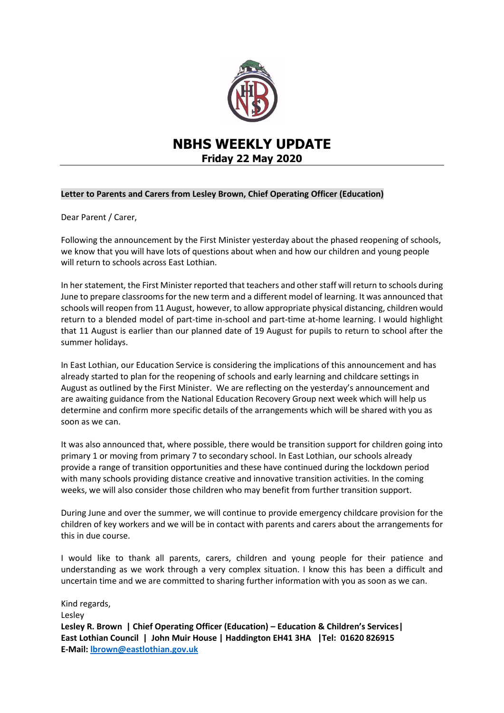

# **NBHS WEEKLY UPDATE Friday 22 May 2020**

# **Letter to Parents and Carers from Lesley Brown, Chief Operating Officer (Education)**

Dear Parent / Carer,

Following the announcement by the First Minister yesterday about the phased reopening of schools, we know that you will have lots of questions about when and how our children and young people will return to schools across East Lothian.

In her statement, the First Minister reported that teachers and other staff will return to schools during June to prepare classrooms for the new term and a different model of learning. It was announced that schools will reopen from 11 August, however, to allow appropriate physical distancing, children would return to a blended model of part-time in-school and part-time at-home learning. I would highlight that 11 August is earlier than our planned date of 19 August for pupils to return to school after the summer holidays.

In East Lothian, our Education Service is considering the implications of this announcement and has already started to plan for the reopening of schools and early learning and childcare settings in August as outlined by the First Minister. We are reflecting on the yesterday's announcement and are awaiting guidance from the National Education Recovery Group next week which will help us determine and confirm more specific details of the arrangements which will be shared with you as soon as we can.

It was also announced that, where possible, there would be transition support for children going into primary 1 or moving from primary 7 to secondary school. In East Lothian, our schools already provide a range of transition opportunities and these have continued during the lockdown period with many schools providing distance creative and innovative transition activities. In the coming weeks, we will also consider those children who may benefit from further transition support.

During June and over the summer, we will continue to provide emergency childcare provision for the children of key workers and we will be in contact with parents and carers about the arrangements for this in due course.

I would like to thank all parents, carers, children and young people for their patience and understanding as we work through a very complex situation. I know this has been a difficult and uncertain time and we are committed to sharing further information with you as soon as we can.

Kind regards, Lesley **Lesley R. Brown | Chief Operating Officer (Education) – Education & Children's Services| East Lothian Council | John Muir House | Haddington EH41 3HA |Tel: 01620 826915 E-Mail[: lbrown@eastlothian.gov.uk](mailto:lbrown@eastlothian.gov.uk)**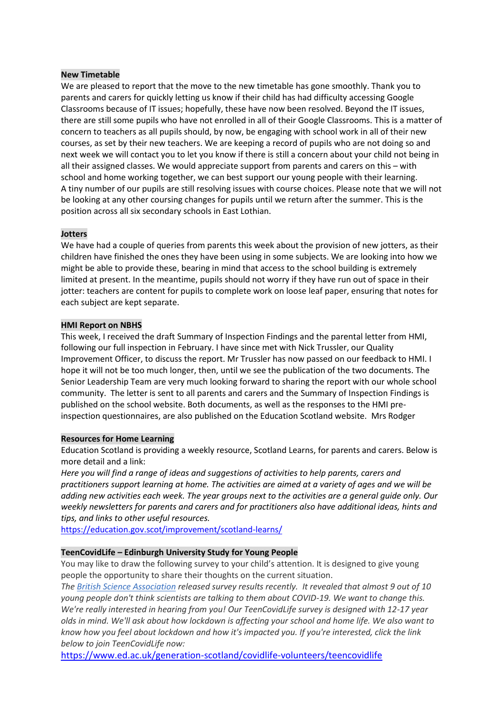#### **New Timetable**

We are pleased to report that the move to the new timetable has gone smoothly. Thank you to parents and carers for quickly letting us know if their child has had difficulty accessing Google Classrooms because of IT issues; hopefully, these have now been resolved. Beyond the IT issues, there are still some pupils who have not enrolled in all of their Google Classrooms. This is a matter of concern to teachers as all pupils should, by now, be engaging with school work in all of their new courses, as set by their new teachers. We are keeping a record of pupils who are not doing so and next week we will contact you to let you know if there is still a concern about your child not being in all their assigned classes. We would appreciate support from parents and carers on this – with school and home working together, we can best support our young people with their learning. A tiny number of our pupils are still resolving issues with course choices. Please note that we will not be looking at any other coursing changes for pupils until we return after the summer. This is the position across all six secondary schools in East Lothian.

#### **Jotters**

We have had a couple of queries from parents this week about the provision of new jotters, as their children have finished the ones they have been using in some subjects. We are looking into how we might be able to provide these, bearing in mind that access to the school building is extremely limited at present. In the meantime, pupils should not worry if they have run out of space in their jotter: teachers are content for pupils to complete work on loose leaf paper, ensuring that notes for each subject are kept separate.

#### **HMI Report on NBHS**

This week, I received the draft Summary of Inspection Findings and the parental letter from HMI, following our full inspection in February. I have since met with Nick Trussler, our Quality Improvement Officer, to discuss the report. Mr Trussler has now passed on our feedback to HMI. I hope it will not be too much longer, then, until we see the publication of the two documents. The Senior Leadership Team are very much looking forward to sharing the report with our whole school community. The letter is sent to all parents and carers and the Summary of Inspection Findings is published on the school website. Both documents, as well as the responses to the HMI preinspection questionnaires, are also published on the Education Scotland website. Mrs Rodger

# **Resources for Home Learning**

Education Scotland is providing a weekly resource, Scotland Learns, for parents and carers. Below is more detail and a link:

*Here you will find a range of ideas and suggestions of activities to help parents, carers and practitioners support learning at home. The activities are aimed at a variety of ages and we will be adding new activities each week. The year groups next to the activities are a general guide only. Our weekly newsletters for parents and carers and for practitioners also have additional ideas, hints and tips, and links to other useful resources.*

<https://education.gov.scot/improvement/scotland-learns/>

# **TeenCovidLife – Edinburgh University Study for Young People**

You may like to draw the following survey to your child's attention. It is designed to give young people the opportunity to share their thoughts on the current situation.

*The [British Science Association](https://www.britishscienceassociation.org/news/new-survey-results-almost-9-in-10-young-people-feel-scientists-and-politicians-are-leaving-them-out-of-the-covid-19-conversation) released survey results recently. It revealed that almost 9 out of 10 young people don't think scientists are talking to them about COVID-19. We want to change this. We're really interested in hearing from you! Our TeenCovidLife survey is designed with 12-17 year olds in mind. We'll ask about how lockdown is affecting your school and home life. We also want to know how you feel about lockdown and how it's impacted you. If you're interested, click the link below to join TeenCovidLife now:* 

<https://www.ed.ac.uk/generation-scotland/covidlife-volunteers/teencovidlife>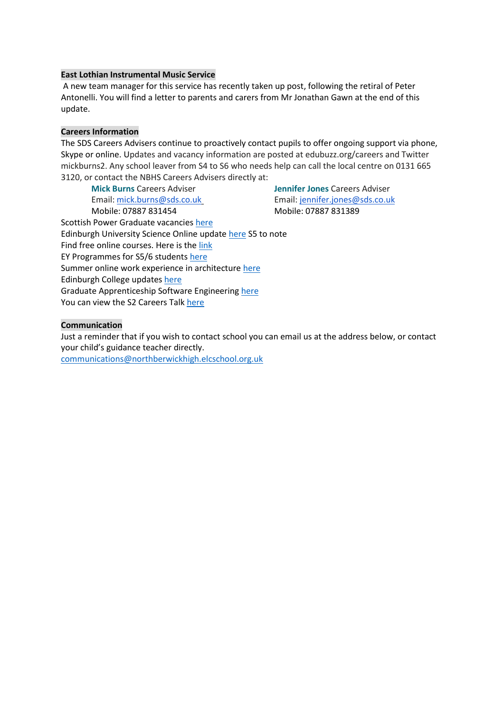#### **East Lothian Instrumental Music Service**

A new team manager for this service has recently taken up post, following the retiral of Peter Antonelli. You will find a letter to parents and carers from Mr Jonathan Gawn at the end of this update.

# **Careers Information**

The SDS Careers Advisers continue to proactively contact pupils to offer ongoing support via phone, Skype or online. Updates and vacancy information are posted at edubuzz.org/careers and Twitter mickburns2. Any school leaver from S4 to S6 who needs help can call the local centre on 0131 665 3120, or contact the NBHS Careers Advisers directly at:

Mobile: 07887 831454 Mobile: 07887 831389

**Mick Burns** Careers Adviser **Jennifer Jones** Careers Adviser Email: [mick.burns@sds.co.uk](https://mail.elcschool.org.uk/owa/redir.aspx?C=oaOPblvAkwiAUmQo30Tdox0TR6g4CrVjkKPD6ZM3HuFr0bxg4-zXCA..&URL=https%3a%2f%2fmail.elcschool.org.uk%2fowa%2fredir.aspx%3fC%3dfbGa3DGVrsUoQB2CnJP23eXwMGzxu7J1CtarT6dTOwkq_NlpJujXCA..%26URL%3dmailto%253amick.burns%2540sds.co.uk) Email: [jennifer.jones@sds.co.uk](https://mail.elcschool.org.uk/owa/redir.aspx?C=Aonz4wfpeZdMe2eVJcCtPZB4wltTVY-_TQOKHnUMqxpr0bxg4-zXCA..&URL=https%3a%2f%2fmail.elcschool.org.uk%2fowa%2fredir.aspx%3fC%3dw5vDwBuTqLYRePI06kgl3gF2RMQQfGk-psGJ7uniRDcq_NlpJujXCA..%26URL%3dmailto%253ajennifer.jones%2540sds.co.uk)

Scottish Power Graduate vacancies [here](https://www.edubuzz.org/careers/2020/04/28/scottish-power-graduate-apprenticeships/) Edinburgh University Science Online update [here](https://www.edubuzz.org/careers/2020/04/28/science-insights-2020-moves-online/) S5 to note Find free online courses. Here is the [link](https://www.edubuzz.org/careers/2020/04/28/find-free-online-courses/) EY Programmes for S5/6 students [here](https://www.edubuzz.org/careers/2020/05/21/ey-update-for-s5-and-s6-students/) Summer online work experience in architecture [here](https://www.edubuzz.org/careers/2020/05/05/virtual-work-experience-architecture/) Edinburgh College updates [here](https://www.edubuzz.org/careers/2020/05/05/edinburgh-college-update-7/) Graduate Apprenticeship Software Engineering [here](https://www.edubuzz.org/careers/2020/05/12/software-engineering-graduate-apprenticeship-bsc/) You can view the S2 Careers Tal[k here](https://www.edubuzz.org/careers/2020/03/30/s2-careers-talk-30-march-2020/)

#### **Communication**

Just a reminder that if you wish to contact school you can email us at the address below, or contact your child's guidance teacher directly.

[communications@northberwickhigh.elcschool.org.uk](mailto:communications@northberwickhigh.elcschool.org.uk)